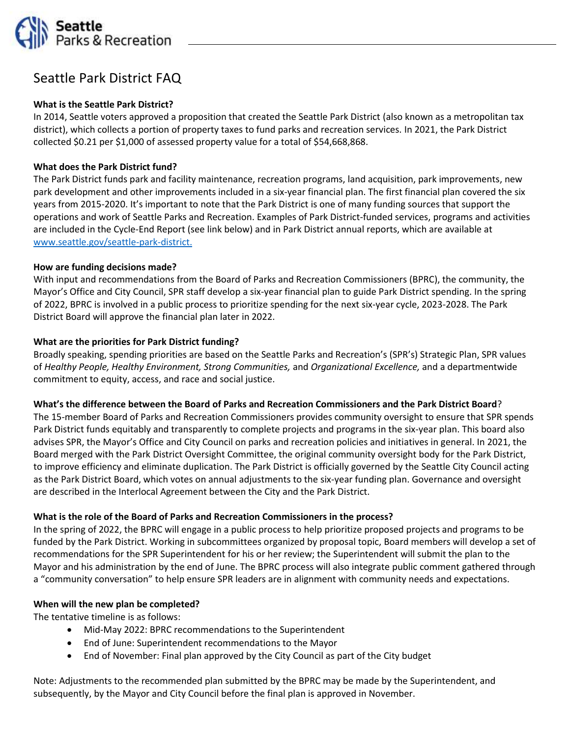

# Seattle Park District FAQ

## **What is the Seattle Park District?**

In 2014, Seattle voters approved a proposition that created the Seattle Park District (also known as a metropolitan tax district), which collects a portion of property taxes to fund parks and recreation services. In 2021, the Park District collected \$0.21 per \$1,000 of assessed property value for a total of \$54,668,868.

## **What does the Park District fund?**

The Park District funds park and facility maintenance, recreation programs, land acquisition, park improvements, new park development and other improvements included in a six-year financial plan. The first financial plan covered the six years from 2015-2020. It's important to note that the Park District is one of many funding sources that support the operations and work of Seattle Parks and Recreation. Examples of Park District-funded services, programs and activities are included in the Cycle-End Report (see link below) and in Park District annual reports, which are available at [www.seattle.gov/seattle-park-district.](http://www.seattle.gov/seattle-park-district)

#### **How are funding decisions made?**

With input and recommendations from the Board of Parks and Recreation Commissioners (BPRC), the community, the Mayor's Office and City Council, SPR staff develop a six-year financial plan to guide Park District spending. In the spring of 2022, BPRC is involved in a public process to prioritize spending for the next six-year cycle, 2023-2028. The Park District Board will approve the financial plan later in 2022.

#### **What are the priorities for Park District funding?**

Broadly speaking, spending priorities are based on the Seattle Parks and Recreation's (SPR's) Strategic Plan, SPR values of *Healthy People, Healthy Environment, Strong Communities,* and *Organizational Excellence,* and a departmentwide commitment to equity, access, and race and social justice.

#### **What's the difference between the Board of Parks and Recreation Commissioners and the Park District Board**?

The 15-member Board of Parks and Recreation Commissioners provides community oversight to ensure that SPR spends Park District funds equitably and transparently to complete projects and programs in the six-year plan. This board also advises SPR, the Mayor's Office and City Council on parks and recreation policies and initiatives in general. In 2021, the Board merged with the Park District Oversight Committee, the original community oversight body for the Park District, to improve efficiency and eliminate duplication. The Park District is officially governed by the Seattle City Council acting as the Park District Board, which votes on annual adjustments to the six-year funding plan. Governance and oversight are described in the Interlocal Agreement between the City and the Park District.

#### **What is the role of the Board of Parks and Recreation Commissioners in the process?**

In the spring of 2022, the BPRC will engage in a public process to help prioritize proposed projects and programs to be funded by the Park District. Working in subcommittees organized by proposal topic, Board members will develop a set of recommendations for the SPR Superintendent for his or her review; the Superintendent will submit the plan to the Mayor and his administration by the end of June. The BPRC process will also integrate public comment gathered through a "community conversation" to help ensure SPR leaders are in alignment with community needs and expectations.

#### **When will the new plan be completed?**

The tentative timeline is as follows:

- Mid-May 2022: BPRC recommendations to the Superintendent
- End of June: Superintendent recommendations to the Mayor
- End of November: Final plan approved by the City Council as part of the City budget

Note: Adjustments to the recommended plan submitted by the BPRC may be made by the Superintendent, and subsequently, by the Mayor and City Council before the final plan is approved in November.